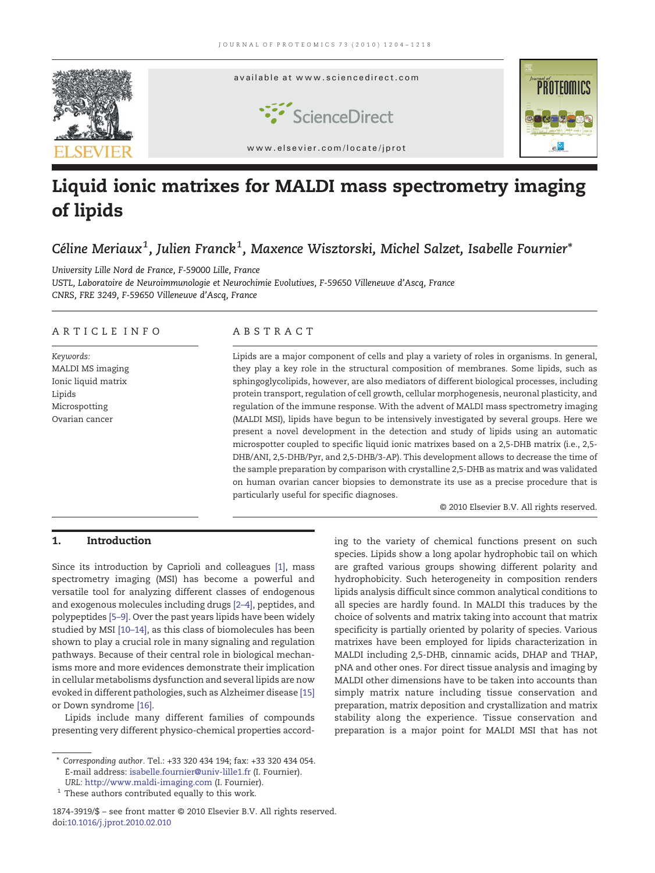

# Liquid ionic matrixes for MALDI mass spectrometry imaging of lipids

## Céline Meriaux $^1$ , Julien Franck $^1$ , Maxence Wisztorski, Michel Salzet, Isabelle Fournier $^\ast$

University Lille Nord de France, F-59000 Lille, France USTL, Laboratoire de Neuroimmunologie et Neurochimie Evolutives, F-59650 Villeneuve d'Ascq, France CNRS, FRE 3249, F-59650 Villeneuve d'Ascq, France

#### ARTICLE INFO ABSTRACT

Keywords: MALDI MS imaging Ionic liquid matrix Lipids Microspotting Ovarian cancer

Lipids are a major component of cells and play a variety of roles in organisms. In general, they play a key role in the structural composition of membranes. Some lipids, such as sphingoglycolipids, however, are also mediators of different biological processes, including protein transport, regulation of cell growth, cellular morphogenesis, neuronal plasticity, and regulation of the immune response. With the advent of MALDI mass spectrometry imaging (MALDI MSI), lipids have begun to be intensively investigated by several groups. Here we present a novel development in the detection and study of lipids using an automatic microspotter coupled to specific liquid ionic matrixes based on a 2,5-DHB matrix (i.e., 2,5- DHB/ANI, 2,5-DHB/Pyr, and 2,5-DHB/3-AP). This development allows to decrease the time of the sample preparation by comparison with crystalline 2,5-DHB as matrix and was validated on human ovarian cancer biopsies to demonstrate its use as a precise procedure that is particularly useful for specific diagnoses.

© 2010 Elsevier B.V. All rights reserved.

### 1. Introduction

Since its introduction by Caprioli and colleagues [\[1\],](#page-13-0) mass spectrometry imaging (MSI) has become a powerful and versatile tool for analyzing different classes of endogenous and exogenous molecules including drugs [2–[4\],](#page-13-0) peptides, and polypeptides [5–[9\].](#page-13-0) Over the past years lipids have been widely studied by MSI [10–[14\],](#page-13-0) as this class of biomolecules has been shown to play a crucial role in many signaling and regulation pathways. Because of their central role in biological mechanisms more and more evidences demonstrate their implication in cellular metabolisms dysfunction and several lipids are now evoked in different pathologies, such as Alzheimer disease [\[15\]](#page-13-0) or Down syndrome [\[16\]](#page-13-0).

Lipids include many different families of compounds presenting very different physico-chemical properties according to the variety of chemical functions present on such species. Lipids show a long apolar hydrophobic tail on which are grafted various groups showing different polarity and hydrophobicity. Such heterogeneity in composition renders lipids analysis difficult since common analytical conditions to all species are hardly found. In MALDI this traduces by the choice of solvents and matrix taking into account that matrix specificity is partially oriented by polarity of species. Various matrixes have been employed for lipids characterization in MALDI including 2,5-DHB, cinnamic acids, DHAP and THAP, pNA and other ones. For direct tissue analysis and imaging by MALDI other dimensions have to be taken into accounts than simply matrix nature including tissue conservation and preparation, matrix deposition and crystallization and matrix stability along the experience. Tissue conservation and preparation is a major point for MALDI MSI that has not

<sup>⁎</sup> Corresponding author. Tel.: +33 320 434 194; fax: +33 320 434 054. E-mail address: isabelle.fournier@univ-lille1.fr (I. Fournier). URL: http://www.maldi-imaging.com (I. Fournier).

 $^{\rm 1}$  These authors contributed equally to this work.

<sup>1874-3919/\$</sup> – see front matter © 2010 Elsevier B.V. All rights reserved. doi:10.1016/j.jprot.2010.02.010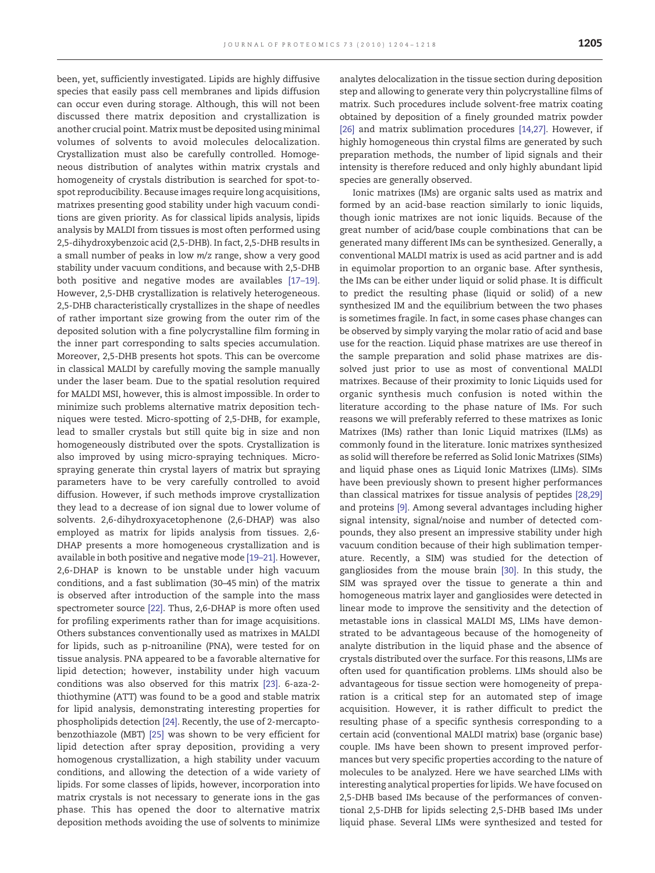been, yet, sufficiently investigated. Lipids are highly diffusive species that easily pass cell membranes and lipids diffusion can occur even during storage. Although, this will not been discussed there matrix deposition and crystallization is another crucial point. Matrix must be deposited using minimal volumes of solvents to avoid molecules delocalization. Crystallization must also be carefully controlled. Homogeneous distribution of analytes within matrix crystals and homogeneity of crystals distribution is searched for spot-tospot reproducibility. Because images require long acquisitions, matrixes presenting good stability under high vacuum conditions are given priority. As for classical lipids analysis, lipids analysis by MALDI from tissues is most often performed using 2,5-dihydroxybenzoic acid (2,5-DHB). In fact, 2,5-DHB results in a small number of peaks in low m/z range, show a very good stability under vacuum conditions, and because with 2,5-DHB both positive and negative modes are availables [17–[19\].](#page-13-0) However, 2,5-DHB crystallization is relatively heterogeneous. 2,5-DHB characteristically crystallizes in the shape of needles of rather important size growing from the outer rim of the deposited solution with a fine polycrystalline film forming in the inner part corresponding to salts species accumulation. Moreover, 2,5-DHB presents hot spots. This can be overcome in classical MALDI by carefully moving the sample manually under the laser beam. Due to the spatial resolution required for MALDI MSI, however, this is almost impossible. In order to minimize such problems alternative matrix deposition techniques were tested. Micro-spotting of 2,5-DHB, for example, lead to smaller crystals but still quite big in size and non homogeneously distributed over the spots. Crystallization is also improved by using micro-spraying techniques. Microspraying generate thin crystal layers of matrix but spraying parameters have to be very carefully controlled to avoid diffusion. However, if such methods improve crystallization they lead to a decrease of ion signal due to lower volume of solvents. 2,6-dihydroxyacetophenone (2,6-DHAP) was also employed as matrix for lipids analysis from tissues. 2,6- DHAP presents a more homogeneous crystallization and is available in both positive and negative mode [19–[21\].](#page-13-0) However, 2,6-DHAP is known to be unstable under high vacuum conditions, and a fast sublimation (30–45 min) of the matrix is observed after introduction of the sample into the mass spectrometer source [\[22\]](#page-13-0). Thus, 2,6-DHAP is more often used for profiling experiments rather than for image acquisitions. Others substances conventionally used as matrixes in MALDI for lipids, such as p-nitroaniline (PNA), were tested for on tissue analysis. PNA appeared to be a favorable alternative for lipid detection; however, instability under high vacuum conditions was also observed for this matrix [\[23\].](#page-13-0) 6-aza-2 thiothymine (ATT) was found to be a good and stable matrix for lipid analysis, demonstrating interesting properties for phospholipids detection [\[24\]](#page-13-0). Recently, the use of 2-mercaptobenzothiazole (MBT) [\[25\]](#page-13-0) was shown to be very efficient for lipid detection after spray deposition, providing a very homogenous crystallization, a high stability under vacuum conditions, and allowing the detection of a wide variety of lipids. For some classes of lipids, however, incorporation into matrix crystals is not necessary to generate ions in the gas phase. This has opened the door to alternative matrix deposition methods avoiding the use of solvents to minimize

analytes delocalization in the tissue section during deposition step and allowing to generate very thin polycrystalline films of matrix. Such procedures include solvent-free matrix coating obtained by deposition of a finely grounded matrix powder [\[26\]](#page-13-0) and matrix sublimation procedures [\[14,27\].](#page-13-0) However, if highly homogeneous thin crystal films are generated by such preparation methods, the number of lipid signals and their intensity is therefore reduced and only highly abundant lipid species are generally observed.

Ionic matrixes (IMs) are organic salts used as matrix and formed by an acid-base reaction similarly to ionic liquids, though ionic matrixes are not ionic liquids. Because of the great number of acid/base couple combinations that can be generated many different IMs can be synthesized. Generally, a conventional MALDI matrix is used as acid partner and is add in equimolar proportion to an organic base. After synthesis, the IMs can be either under liquid or solid phase. It is difficult to predict the resulting phase (liquid or solid) of a new synthesized IM and the equilibrium between the two phases is sometimes fragile. In fact, in some cases phase changes can be observed by simply varying the molar ratio of acid and base use for the reaction. Liquid phase matrixes are use thereof in the sample preparation and solid phase matrixes are dissolved just prior to use as most of conventional MALDI matrixes. Because of their proximity to Ionic Liquids used for organic synthesis much confusion is noted within the literature according to the phase nature of IMs. For such reasons we will preferably referred to these matrixes as Ionic Matrixes (IMs) rather than Ionic Liquid matrixes (ILMs) as commonly found in the literature. Ionic matrixes synthesized as solid will therefore be referred as Solid Ionic Matrixes (SIMs) and liquid phase ones as Liquid Ionic Matrixes (LIMs). SIMs have been previously shown to present higher performances than classical matrixes for tissue analysis of peptides [\[28,29\]](#page-13-0) and proteins [\[9\].](#page-13-0) Among several advantages including higher signal intensity, signal/noise and number of detected compounds, they also present an impressive stability under high vacuum condition because of their high sublimation temperature. Recently, a SIM) was studied for the detection of gangliosides from the mouse brain [\[30\].](#page-13-0) In this study, the SIM was sprayed over the tissue to generate a thin and homogeneous matrix layer and gangliosides were detected in linear mode to improve the sensitivity and the detection of metastable ions in classical MALDI MS, LIMs have demonstrated to be advantageous because of the homogeneity of analyte distribution in the liquid phase and the absence of crystals distributed over the surface. For this reasons, LIMs are often used for quantification problems. LIMs should also be advantageous for tissue section were homogeneity of preparation is a critical step for an automated step of image acquisition. However, it is rather difficult to predict the resulting phase of a specific synthesis corresponding to a certain acid (conventional MALDI matrix) base (organic base) couple. IMs have been shown to present improved performances but very specific properties according to the nature of molecules to be analyzed. Here we have searched LIMs with interesting analytical properties for lipids. We have focused on 2,5-DHB based IMs because of the performances of conventional 2,5-DHB for lipids selecting 2,5-DHB based IMs under liquid phase. Several LIMs were synthesized and tested for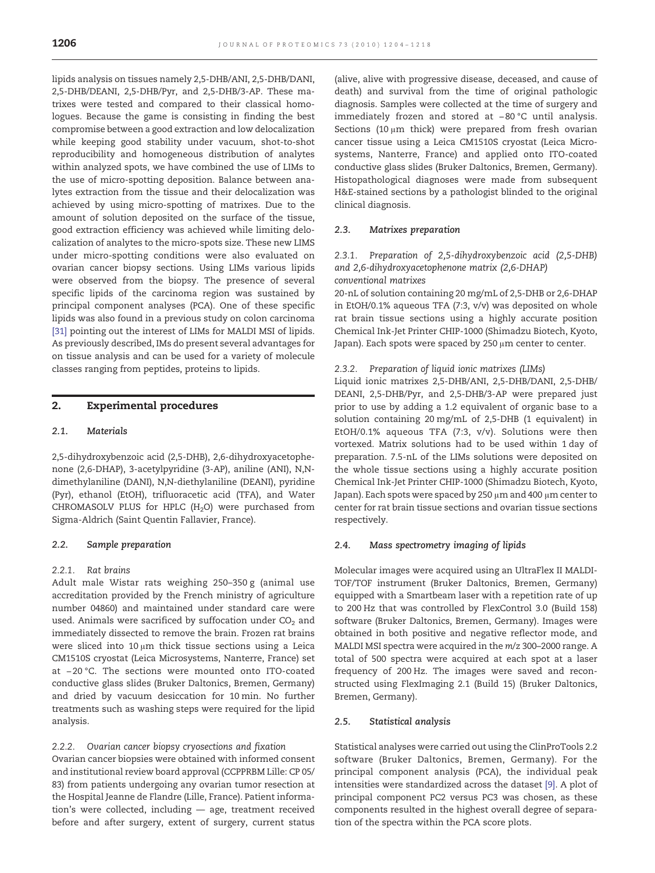lipids analysis on tissues namely 2,5-DHB/ANI, 2,5-DHB/DANI, 2,5-DHB/DEANI, 2,5-DHB/Pyr, and 2,5-DHB/3-AP. These matrixes were tested and compared to their classical homologues. Because the game is consisting in finding the best compromise between a good extraction and low delocalization while keeping good stability under vacuum, shot-to-shot reproducibility and homogeneous distribution of analytes within analyzed spots, we have combined the use of LIMs to the use of micro-spotting deposition. Balance between analytes extraction from the tissue and their delocalization was achieved by using micro-spotting of matrixes. Due to the amount of solution deposited on the surface of the tissue, good extraction efficiency was achieved while limiting delocalization of analytes to the micro-spots size. These new LIMS under micro-spotting conditions were also evaluated on ovarian cancer biopsy sections. Using LIMs various lipids were observed from the biopsy. The presence of several specific lipids of the carcinoma region was sustained by principal component analyses (PCA). One of these specific lipids was also found in a previous study on colon carcinoma [\[31\]](#page-13-0) pointing out the interest of LIMs for MALDI MSI of lipids. As previously described, IMs do present several advantages for on tissue analysis and can be used for a variety of molecule classes ranging from peptides, proteins to lipids.

#### 2. Experimental procedures

#### 2.1. Materials

2,5-dihydroxybenzoic acid (2,5-DHB), 2,6-dihydroxyacetophenone (2,6-DHAP), 3-acetylpyridine (3-AP), aniline (ANI), N,Ndimethylaniline (DANI), N,N-diethylaniline (DEANI), pyridine (Pyr), ethanol (EtOH), trifluoracetic acid (TFA), and Water CHROMASOLV PLUS for HPLC  $(H<sub>2</sub>O)$  were purchased from Sigma-Aldrich (Saint Quentin Fallavier, France).

#### 2.2. Sample preparation

#### 2.2.1. Rat brains

Adult male Wistar rats weighing 250–350 g (animal use accreditation provided by the French ministry of agriculture number 04860) and maintained under standard care were used. Animals were sacrificed by suffocation under  $CO<sub>2</sub>$  and immediately dissected to remove the brain. Frozen rat brains were sliced into  $10 \mu m$  thick tissue sections using a Leica CM1510S cryostat (Leica Microsystems, Nanterre, France) set at −20 °C. The sections were mounted onto ITO-coated conductive glass slides (Bruker Daltonics, Bremen, Germany) and dried by vacuum desiccation for 10 min. No further treatments such as washing steps were required for the lipid analysis.

#### 2.2.2. Ovarian cancer biopsy cryosections and fixation

Ovarian cancer biopsies were obtained with informed consent and institutional review board approval (CCPPRBM Lille: CP 05/ 83) from patients undergoing any ovarian tumor resection at the Hospital Jeanne de Flandre (Lille, France). Patient information's were collected, including — age, treatment received before and after surgery, extent of surgery, current status

(alive, alive with progressive disease, deceased, and cause of death) and survival from the time of original pathologic diagnosis. Samples were collected at the time of surgery and immediately frozen and stored at −80 °C until analysis. Sections (10  $\mu$ m thick) were prepared from fresh ovarian cancer tissue using a Leica CM1510S cryostat (Leica Microsystems, Nanterre, France) and applied onto ITO-coated conductive glass slides (Bruker Daltonics, Bremen, Germany). Histopathological diagnoses were made from subsequent H&E-stained sections by a pathologist blinded to the original clinical diagnosis.

#### 2.3. Matrixes preparation

#### 2.3.1. Preparation of 2,5-dihydroxybenzoic acid (2,5-DHB) and 2,6-dihydroxyacetophenone matrix (2,6-DHAP) conventional matrixes

20-nL of solution containing 20 mg/mL of 2,5-DHB or 2,6-DHAP in EtOH/0.1% aqueous TFA (7:3, v/v) was deposited on whole rat brain tissue sections using a highly accurate position Chemical Ink-Jet Printer CHIP-1000 (Shimadzu Biotech, Kyoto, Japan). Each spots were spaced by 250 µm center to center.

#### 2.3.2. Preparation of liquid ionic matrixes (LIMs)

Liquid ionic matrixes 2,5-DHB/ANI, 2,5-DHB/DANI, 2,5-DHB/ DEANI, 2,5-DHB/Pyr, and 2,5-DHB/3-AP were prepared just prior to use by adding a 1.2 equivalent of organic base to a solution containing 20 mg/mL of 2,5-DHB (1 equivalent) in EtOH/0.1% aqueous TFA (7:3, v/v). Solutions were then vortexed. Matrix solutions had to be used within 1 day of preparation. 7.5-nL of the LIMs solutions were deposited on the whole tissue sections using a highly accurate position Chemical Ink-Jet Printer CHIP-1000 (Shimadzu Biotech, Kyoto, Japan). Each spots were spaced by 250 µm and 400 µm center to center for rat brain tissue sections and ovarian tissue sections respectively.

#### 2.4. Mass spectrometry imaging of lipids

Molecular images were acquired using an UltraFlex II MALDI-TOF/TOF instrument (Bruker Daltonics, Bremen, Germany) equipped with a Smartbeam laser with a repetition rate of up to 200 Hz that was controlled by FlexControl 3.0 (Build 158) software (Bruker Daltonics, Bremen, Germany). Images were obtained in both positive and negative reflector mode, and MALDI MSI spectra were acquired in the m/z 300–2000 range. A total of 500 spectra were acquired at each spot at a laser frequency of 200 Hz. The images were saved and reconstructed using FlexImaging 2.1 (Build 15) (Bruker Daltonics, Bremen, Germany).

#### 2.5. Statistical analysis

Statistical analyses were carried out using the ClinProTools 2.2 software (Bruker Daltonics, Bremen, Germany). For the principal component analysis (PCA), the individual peak intensities were standardized across the dataset [\[9\]](#page-13-0). A plot of principal component PC2 versus PC3 was chosen, as these components resulted in the highest overall degree of separation of the spectra within the PCA score plots.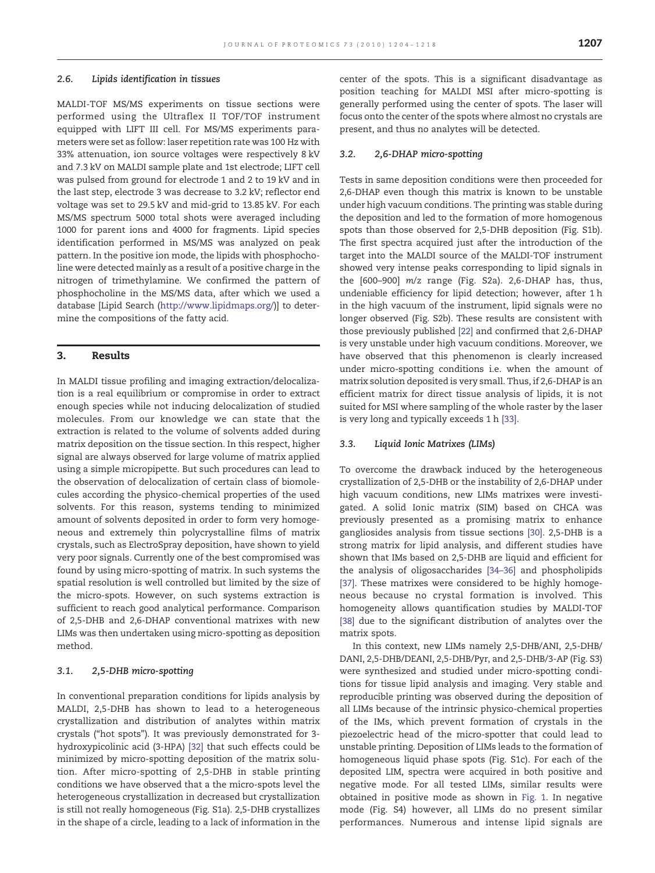#### 2.6. Lipids identification in tissues

MALDI-TOF MS/MS experiments on tissue sections were performed using the Ultraflex II TOF/TOF instrument equipped with LIFT III cell. For MS/MS experiments parameters were set as follow: laser repetition rate was 100 Hz with 33% attenuation, ion source voltages were respectively 8 kV and 7.3 kV on MALDI sample plate and 1st electrode; LIFT cell was pulsed from ground for electrode 1 and 2 to 19 kV and in the last step, electrode 3 was decrease to 3.2 kV; reflector end voltage was set to 29.5 kV and mid-grid to 13.85 kV. For each MS/MS spectrum 5000 total shots were averaged including 1000 for parent ions and 4000 for fragments. Lipid species identification performed in MS/MS was analyzed on peak pattern. In the positive ion mode, the lipids with phosphocholine were detected mainly as a result of a positive charge in the nitrogen of trimethylamine. We confirmed the pattern of phosphocholine in the MS/MS data, after which we used a database [Lipid Search (http://www.lipidmaps.org/)] to determine the compositions of the fatty acid.

#### 3. Results

In MALDI tissue profiling and imaging extraction/delocalization is a real equilibrium or compromise in order to extract enough species while not inducing delocalization of studied molecules. From our knowledge we can state that the extraction is related to the volume of solvents added during matrix deposition on the tissue section. In this respect, higher signal are always observed for large volume of matrix applied using a simple micropipette. But such procedures can lead to the observation of delocalization of certain class of biomolecules according the physico-chemical properties of the used solvents. For this reason, systems tending to minimized amount of solvents deposited in order to form very homogeneous and extremely thin polycrystalline films of matrix crystals, such as ElectroSpray deposition, have shown to yield very poor signals. Currently one of the best compromised was found by using micro-spotting of matrix. In such systems the spatial resolution is well controlled but limited by the size of the micro-spots. However, on such systems extraction is sufficient to reach good analytical performance. Comparison of 2,5-DHB and 2,6-DHAP conventional matrixes with new LIMs was then undertaken using micro-spotting as deposition method.

#### 3.1. 2,5-DHB micro-spotting

In conventional preparation conditions for lipids analysis by MALDI, 2,5-DHB has shown to lead to a heterogeneous crystallization and distribution of analytes within matrix crystals ("hot spots"). It was previously demonstrated for 3 hydroxypicolinic acid (3-HPA) [\[32\]](#page-13-0) that such effects could be minimized by micro-spotting deposition of the matrix solution. After micro-spotting of 2,5-DHB in stable printing conditions we have observed that a the micro-spots level the heterogeneous crystallization in decreased but crystallization is still not really homogeneous (Fig. S1a). 2,5-DHB crystallizes in the shape of a circle, leading to a lack of information in the

center of the spots. This is a significant disadvantage as position teaching for MALDI MSI after micro-spotting is generally performed using the center of spots. The laser will focus onto the center of the spots where almost no crystals are present, and thus no analytes will be detected.

#### 3.2. 2,6-DHAP micro-spotting

Tests in same deposition conditions were then proceeded for 2,6-DHAP even though this matrix is known to be unstable under high vacuum conditions. The printing was stable during the deposition and led to the formation of more homogenous spots than those observed for 2,5-DHB deposition (Fig. S1b). The first spectra acquired just after the introduction of the target into the MALDI source of the MALDI-TOF instrument showed very intense peaks corresponding to lipid signals in the [600–900] m/z range (Fig. S2a). 2,6-DHAP has, thus, undeniable efficiency for lipid detection; however, after 1 h in the high vacuum of the instrument, lipid signals were no longer observed (Fig. S2b). These results are consistent with those previously published [\[22\]](#page-13-0) and confirmed that 2,6-DHAP is very unstable under high vacuum conditions. Moreover, we have observed that this phenomenon is clearly increased under micro-spotting conditions i.e. when the amount of matrix solution deposited is very small. Thus, if 2,6-DHAP is an efficient matrix for direct tissue analysis of lipids, it is not suited for MSI where sampling of the whole raster by the laser is very long and typically exceeds 1 h [\[33\]](#page-13-0).

#### 3.3. Liquid Ionic Matrixes (LIMs)

To overcome the drawback induced by the heterogeneous crystallization of 2,5-DHB or the instability of 2,6-DHAP under high vacuum conditions, new LIMs matrixes were investigated. A solid Ionic matrix (SIM) based on CHCA was previously presented as a promising matrix to enhance gangliosides analysis from tissue sections [\[30\]](#page-13-0). 2,5-DHB is a strong matrix for lipid analysis, and different studies have shown that IMs based on 2,5-DHB are liquid and efficient for the analysis of oligosaccharides [\[34](#page-13-0)–36] and phospholipids [\[37\].](#page-14-0) These matrixes were considered to be highly homogeneous because no crystal formation is involved. This homogeneity allows quantification studies by MALDI-TOF [\[38\]](#page-14-0) due to the significant distribution of analytes over the matrix spots.

In this context, new LIMs namely 2,5-DHB/ANI, 2,5-DHB/ DANI, 2,5-DHB/DEANI, 2,5-DHB/Pyr, and 2,5-DHB/3-AP (Fig. S3) were synthesized and studied under micro-spotting conditions for tissue lipid analysis and imaging. Very stable and reproducible printing was observed during the deposition of all LIMs because of the intrinsic physico-chemical properties of the IMs, which prevent formation of crystals in the piezoelectric head of the micro-spotter that could lead to unstable printing. Deposition of LIMs leads to the formation of homogeneous liquid phase spots (Fig. S1c). For each of the deposited LIM, spectra were acquired in both positive and negative mode. For all tested LIMs, similar results were obtained in positive mode as shown in [Fig. 1.](#page-4-0) In negative mode (Fig. S4) however, all LIMs do no present similar performances. Numerous and intense lipid signals are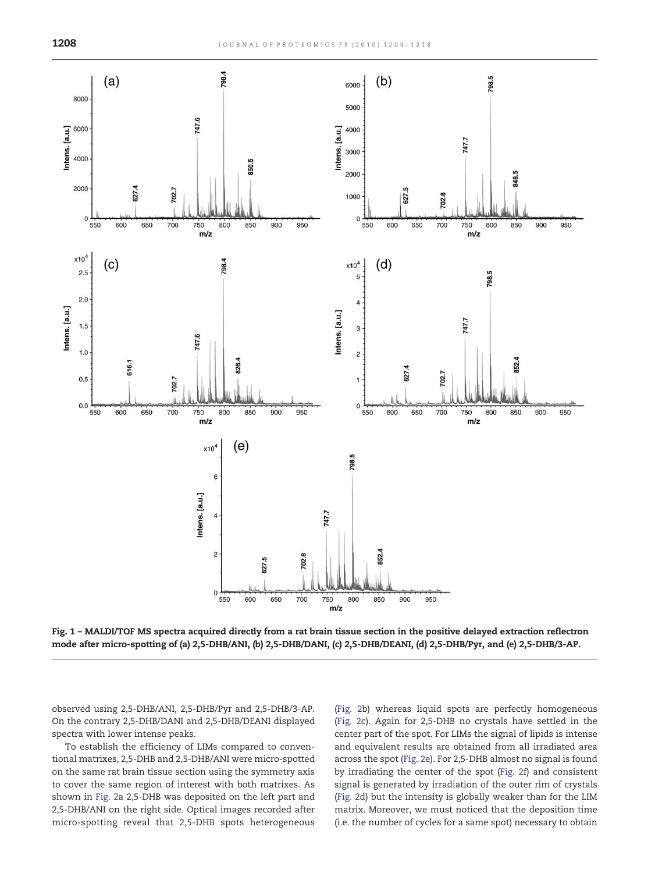<span id="page-4-0"></span>

Fig. 1 – MALDI/TOF MS spectra acquired directly from a rat brain tissue section in the positive delayed extraction reflectron mode after micro-spotting of (a) 2,5-DHB/ANI, (b) 2,5-DHB/DANI, (c) 2,5-DHB/DEANI, (d) 2,5-DHB/Pyr, and (e) 2,5-DHB/3-AP.

observed using 2,5-DHB/ANI, 2,5-DHB/Pyr and 2,5-DHB/3-AP. On the contrary 2,5-DHB/DANI and 2,5-DHB/DEANI displayed spectra with lower intense peaks.

To establish the efficiency of LIMs compared to conventional matrixes, 2,5-DHB and 2,5-DHB/ANI were micro-spotted on the same rat brain tissue section using the symmetry axis to cover the same region of interest with both matrixes. As shown in [Fig. 2a](#page-5-0) 2,5-DHB was deposited on the left part and 2,5-DHB/ANI on the right side. Optical images recorded after micro-spotting reveal that 2,5-DHB spots heterogeneous ([Fig. 2](#page-5-0)b) whereas liquid spots are perfectly homogeneous ([Fig. 2c](#page-5-0)). Again for 2,5-DHB no crystals have settled in the center part of the spot. For LIMs the signal of lipids is intense and equivalent results are obtained from all irradiated area across the spot [\(Fig. 2e](#page-5-0)). For 2,5-DHB almost no signal is found by irradiating the center of the spot ([Fig. 2](#page-5-0)f) and consistent signal is generated by irradiation of the outer rim of crystals ([Fig. 2](#page-5-0)d) but the intensity is globally weaker than for the LIM matrix. Moreover, we must noticed that the deposition time (i.e. the number of cycles for a same spot) necessary to obtain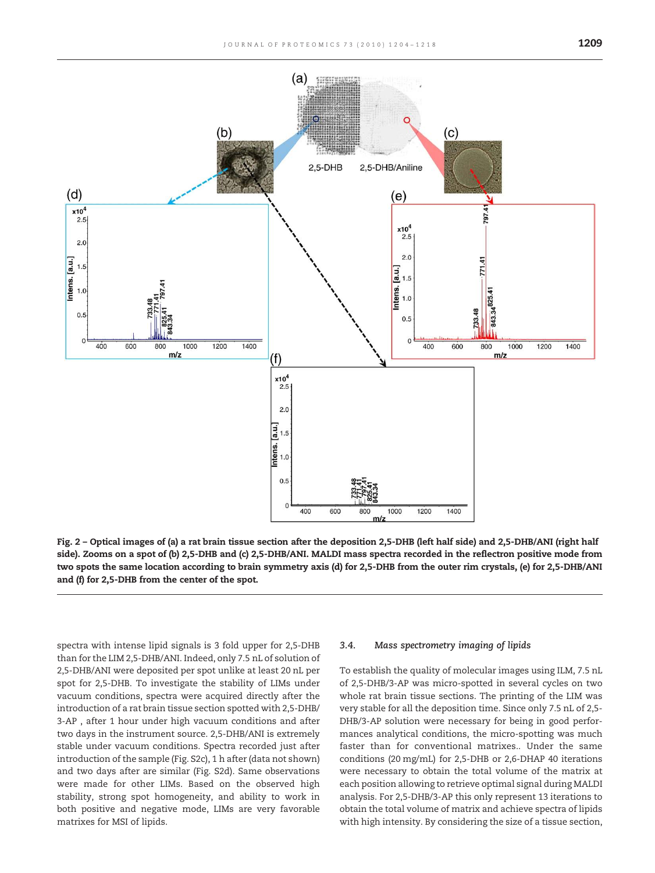<span id="page-5-0"></span>

Fig. 2 – Optical images of (a) a rat brain tissue section after the deposition 2,5-DHB (left half side) and 2,5-DHB/ANI (right half side). Zooms on a spot of (b) 2,5-DHB and (c) 2,5-DHB/ANI. MALDI mass spectra recorded in the reflectron positive mode from two spots the same location according to brain symmetry axis (d) for 2,5-DHB from the outer rim crystals, (e) for 2,5-DHB/ANI and (f) for 2,5-DHB from the center of the spot.

spectra with intense lipid signals is 3 fold upper for 2,5-DHB than for the LIM 2,5-DHB/ANI. Indeed, only 7.5 nL of solution of 2,5-DHB/ANI were deposited per spot unlike at least 20 nL per spot for 2,5-DHB. To investigate the stability of LIMs under vacuum conditions, spectra were acquired directly after the introduction of a rat brain tissue section spotted with 2,5-DHB/ 3-AP , after 1 hour under high vacuum conditions and after two days in the instrument source. 2,5-DHB/ANI is extremely stable under vacuum conditions. Spectra recorded just after introduction of the sample (Fig. S2c), 1 h after (data not shown) and two days after are similar (Fig. S2d). Same observations were made for other LIMs. Based on the observed high stability, strong spot homogeneity, and ability to work in both positive and negative mode, LIMs are very favorable matrixes for MSI of lipids.

#### 3.4. Mass spectrometry imaging of lipids

To establish the quality of molecular images using ILM, 7.5 nL of 2,5-DHB/3-AP was micro-spotted in several cycles on two whole rat brain tissue sections. The printing of the LIM was very stable for all the deposition time. Since only 7.5 nL of 2,5- DHB/3-AP solution were necessary for being in good performances analytical conditions, the micro-spotting was much faster than for conventional matrixes.. Under the same conditions (20 mg/mL) for 2,5-DHB or 2,6-DHAP 40 iterations were necessary to obtain the total volume of the matrix at each position allowing to retrieve optimal signal during MALDI analysis. For 2,5-DHB/3-AP this only represent 13 iterations to obtain the total volume of matrix and achieve spectra of lipids with high intensity. By considering the size of a tissue section,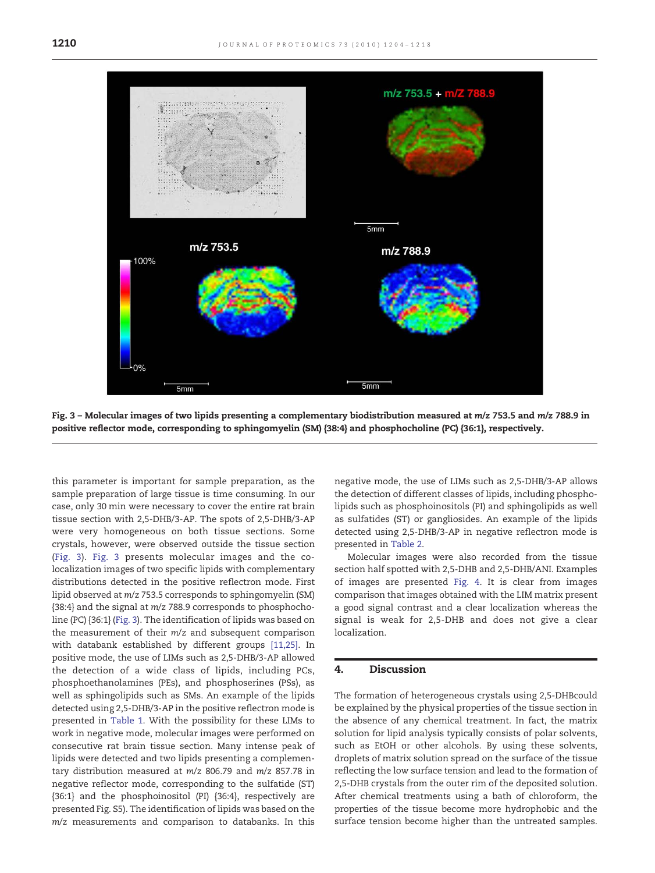

Fig. 3 - Molecular images of two lipids presenting a complementary biodistribution measured at m/z 753.5 and m/z 788.9 in positive reflector mode, corresponding to sphingomyelin (SM) {38:4} and phosphocholine (PC) {36:1}, respectively.

this parameter is important for sample preparation, as the sample preparation of large tissue is time consuming. In our case, only 30 min were necessary to cover the entire rat brain tissue section with 2,5-DHB/3-AP. The spots of 2,5-DHB/3-AP were very homogeneous on both tissue sections. Some crystals, however, were observed outside the tissue section (Fig. 3). Fig. 3 presents molecular images and the colocalization images of two specific lipids with complementary distributions detected in the positive reflectron mode. First lipid observed at m/z 753.5 corresponds to sphingomyelin (SM) {38:4} and the signal at m/z 788.9 corresponds to phosphocholine (PC) {36:1} (Fig. 3). The identification of lipids was based on the measurement of their m/z and subsequent comparison with databank established by different groups [\[11,25\]](#page-13-0). In positive mode, the use of LIMs such as 2,5-DHB/3-AP allowed the detection of a wide class of lipids, including PCs, phosphoethanolamines (PEs), and phosphoserines (PSs), as well as sphingolipids such as SMs. An example of the lipids detected using 2,5-DHB/3-AP in the positive reflectron mode is presented in [Table 1.](#page-7-0) With the possibility for these LIMs to work in negative mode, molecular images were performed on consecutive rat brain tissue section. Many intense peak of lipids were detected and two lipids presenting a complementary distribution measured at m/z 806.79 and m/z 857.78 in negative reflector mode, corresponding to the sulfatide (ST) {36:1} and the phosphoinositol (PI) {36:4}, respectively are presented Fig. S5). The identification of lipids was based on the m/z measurements and comparison to databanks. In this negative mode, the use of LIMs such as 2,5-DHB/3-AP allows the detection of different classes of lipids, including phospholipids such as phosphoinositols (PI) and sphingolipids as well as sulfatides (ST) or gangliosides. An example of the lipids detected using 2,5-DHB/3-AP in negative reflectron mode is presented in [Table 2.](#page-7-0)

Molecular images were also recorded from the tissue section half spotted with 2,5-DHB and 2,5-DHB/ANI. Examples of images are presented [Fig. 4](#page-8-0). It is clear from images comparison that images obtained with the LIM matrix present a good signal contrast and a clear localization whereas the signal is weak for 2,5-DHB and does not give a clear localization.

#### 4. Discussion

The formation of heterogeneous crystals using 2,5-DHBcould be explained by the physical properties of the tissue section in the absence of any chemical treatment. In fact, the matrix solution for lipid analysis typically consists of polar solvents, such as EtOH or other alcohols. By using these solvents, droplets of matrix solution spread on the surface of the tissue reflecting the low surface tension and lead to the formation of 2,5-DHB crystals from the outer rim of the deposited solution. After chemical treatments using a bath of chloroform, the properties of the tissue become more hydrophobic and the surface tension become higher than the untreated samples.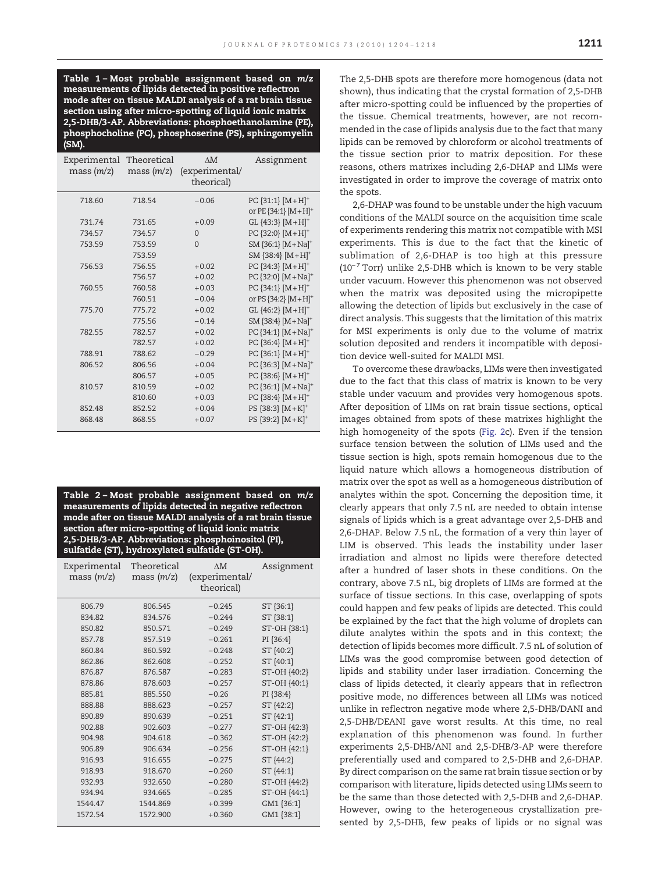<span id="page-7-0"></span>Table 1 – Most probable assignment based on m/z measurements of lipids detected in positive reflectron mode after on tissue MALDI analysis of a rat brain tissue section using after micro-spotting of liquid ionic matrix 2,5-DHB/3-AP. Abbreviations: phosphoethanolamine (PE), phosphocholine (PC), phosphoserine (PS), sphingomyelin (SM).

| Experimental<br>mass(m/z) | Theoretical<br>mass(m/z) | $\Lambda M$<br>(experimental/<br>theorical) | Assignment                        |  |
|---------------------------|--------------------------|---------------------------------------------|-----------------------------------|--|
| 718.60                    | 718.54                   | $-0.06$                                     | PC ${31:1}$ $[M+H]^+$             |  |
|                           |                          |                                             | or PE $\{34:1\}$ $[M+H]^{+}$      |  |
| 731.74                    | 731.65                   | $+0.09$                                     | GL ${43:3}$ $[M+H]^{+}$           |  |
| 734.57                    | 734.57                   | $\overline{0}$                              | PC ${32:0}$ $[M+H]^+$             |  |
| 753.59                    | 753.59                   | $\Omega$                                    | SM {36:1} [M+Na] <sup>+</sup>     |  |
|                           | 753.59                   |                                             | SM ${38:4}$ $[M+H]^{+}$           |  |
| 756.53                    | 756.55                   | $+0.02$                                     | PC ${34:3}$ $[M+H]$ <sup>+</sup>  |  |
|                           | 756.57                   | $+0.02$                                     | PC ${32:0}$ [M + Na] <sup>+</sup> |  |
| 760.55                    | 760.58                   | $+0.03$                                     | PC ${34:1}$ $[M+H]$ <sup>+</sup>  |  |
|                           | 760.51                   | $-0.04$                                     | or PS $\{34:2\}$ $[M+H]^{+}$      |  |
| 775.70                    | 775.72                   | $+0.02$                                     | GL ${46:2}$ $[M+H]^{+}$           |  |
|                           | 775.56                   | $-0.14$                                     | SM {38:4} [M+Na] <sup>+</sup>     |  |
| 782.55                    | 782.57                   | $+0.02$                                     | PC ${34:1}$ $[M+Na]^{+}$          |  |
|                           | 782.57                   | $+0.02$                                     | PC ${36:4}$ $[M+H]^+$             |  |
| 788.91                    | 788.62                   | $-0.29$                                     | PC ${36:1} [M+H]$ <sup>+</sup>    |  |
| 806.52                    | 806.56                   | $+0.04$                                     | PC ${36:3}$ $[M+Na]^{+}$          |  |
|                           | 806.57                   | $+0.05$                                     | PC ${38:6}$ $[M+H]^{+}$           |  |
| 810.57                    | 810.59                   | $+0.02$                                     | PC ${36:1}$ [M + Na] <sup>+</sup> |  |
|                           | 810.60                   | $+0.03$                                     | PC ${38:4}$ $[M+H]$ <sup>+</sup>  |  |
| 852.48                    | 852.52                   | $+0.04$                                     | PS ${38:3}$ $[M+K]^+$             |  |
| 868.48                    | 868.55                   | $+0.07$                                     | PS ${39:2}$ $[M+K]^+$             |  |

Table 2 – Most probable assignment based on m/z measurements of lipids detected in negative reflectron mode after on tissue MALDI analysis of a rat brain tissue section after micro-spotting of liquid ionic matrix 2,5-DHB/3-AP. Abbreviations: phosphoinositol (PI), sulfatide (ST), hydroxylated sulfatide (ST-OH).

| Experimental<br>mass $(m/z)$ | Theoretical<br>mass(m/z) | $\Lambda M$<br>(experimental/<br>theorical) | Assignment   |
|------------------------------|--------------------------|---------------------------------------------|--------------|
| 806.79                       | 806.545                  | $-0.245$                                    | ST {36:1}    |
| 834.82                       | 834.576                  | $-0.244$                                    | ST {38:1}    |
| 850.82                       | 850.571                  | $-0.249$                                    | ST-OH {38:1} |
| 857.78                       | 857.519                  | $-0.261$                                    | PI {36:4}    |
| 860.84                       | 860.592                  | $-0.248$                                    | ST {40:2}    |
| 862.86                       | 862.608                  | $-0.252$                                    | ST {40:1}    |
| 876.87                       | 876.587                  | $-0.283$                                    | ST-OH {40:2} |
| 878.86                       | 878.603                  | $-0.257$                                    | ST-OH {40:1} |
| 885.81                       | 885.550                  | $-0.26$                                     | PI {38:4}    |
| 888.88                       | 888.623                  | $-0.257$                                    | ST {42:2}    |
| 890.89                       | 890.639                  | $-0.251$                                    | ST {42:1}    |
| 902.88                       | 902.603                  | $-0.277$                                    | ST-OH {42:3} |
| 904.98                       | 904.618                  | $-0.362$                                    | ST-OH {42:2} |
| 906.89                       | 906.634                  | $-0.256$                                    | ST-OH {42:1} |
| 916.93                       | 916.655                  | $-0.275$                                    | ST {44:2}    |
| 918.93                       | 918.670                  | $-0.260$                                    | ST {44:1}    |
| 932.93                       | 932.650                  | $-0.280$                                    | ST-OH {44:2} |
| 934.94                       | 934.665                  | $-0.285$                                    | ST-OH {44:1} |
| 1544.47                      | 1544.869                 | $+0.399$                                    | GM1 {36:1}   |
| 1572.54                      | 1572.900                 | $+0.360$                                    | GM1 {38:1}   |

The 2,5-DHB spots are therefore more homogenous (data not shown), thus indicating that the crystal formation of 2,5-DHB after micro-spotting could be influenced by the properties of the tissue. Chemical treatments, however, are not recommended in the case of lipids analysis due to the fact that many lipids can be removed by chloroform or alcohol treatments of the tissue section prior to matrix deposition. For these reasons, others matrixes including 2,6-DHAP and LIMs were investigated in order to improve the coverage of matrix onto the spots.

2,6-DHAP was found to be unstable under the high vacuum conditions of the MALDI source on the acquisition time scale of experiments rendering this matrix not compatible with MSI experiments. This is due to the fact that the kinetic of sublimation of 2,6-DHAP is too high at this pressure  $(10^{-7}$  Torr) unlike 2,5-DHB which is known to be very stable under vacuum. However this phenomenon was not observed when the matrix was deposited using the micropipette allowing the detection of lipids but exclusively in the case of direct analysis. This suggests that the limitation of this matrix for MSI experiments is only due to the volume of matrix solution deposited and renders it incompatible with deposition device well-suited for MALDI MSI.

To overcome these drawbacks, LIMs were then investigated due to the fact that this class of matrix is known to be very stable under vacuum and provides very homogenous spots. After deposition of LIMs on rat brain tissue sections, optical images obtained from spots of these matrixes highlight the high homogeneity of the spots [\(Fig. 2](#page-5-0)c). Even if the tension surface tension between the solution of LIMs used and the tissue section is high, spots remain homogenous due to the liquid nature which allows a homogeneous distribution of matrix over the spot as well as a homogeneous distribution of analytes within the spot. Concerning the deposition time, it clearly appears that only 7.5 nL are needed to obtain intense signals of lipids which is a great advantage over 2,5-DHB and 2,6-DHAP. Below 7.5 nL, the formation of a very thin layer of LIM is observed. This leads the instability under laser irradiation and almost no lipids were therefore detected after a hundred of laser shots in these conditions. On the contrary, above 7.5 nL, big droplets of LIMs are formed at the surface of tissue sections. In this case, overlapping of spots could happen and few peaks of lipids are detected. This could be explained by the fact that the high volume of droplets can dilute analytes within the spots and in this context; the detection of lipids becomes more difficult. 7.5 nL of solution of LIMs was the good compromise between good detection of lipids and stability under laser irradiation. Concerning the class of lipids detected, it clearly appears that in reflectron positive mode, no differences between all LIMs was noticed unlike in reflectron negative mode where 2,5-DHB/DANI and 2,5-DHB/DEANI gave worst results. At this time, no real explanation of this phenomenon was found. In further experiments 2,5-DHB/ANI and 2,5-DHB/3-AP were therefore preferentially used and compared to 2,5-DHB and 2,6-DHAP. By direct comparison on the same rat brain tissue section or by comparison with literature, lipids detected using LIMs seem to be the same than those detected with 2,5-DHB and 2,6-DHAP. However, owing to the heterogeneous crystallization presented by 2,5-DHB, few peaks of lipids or no signal was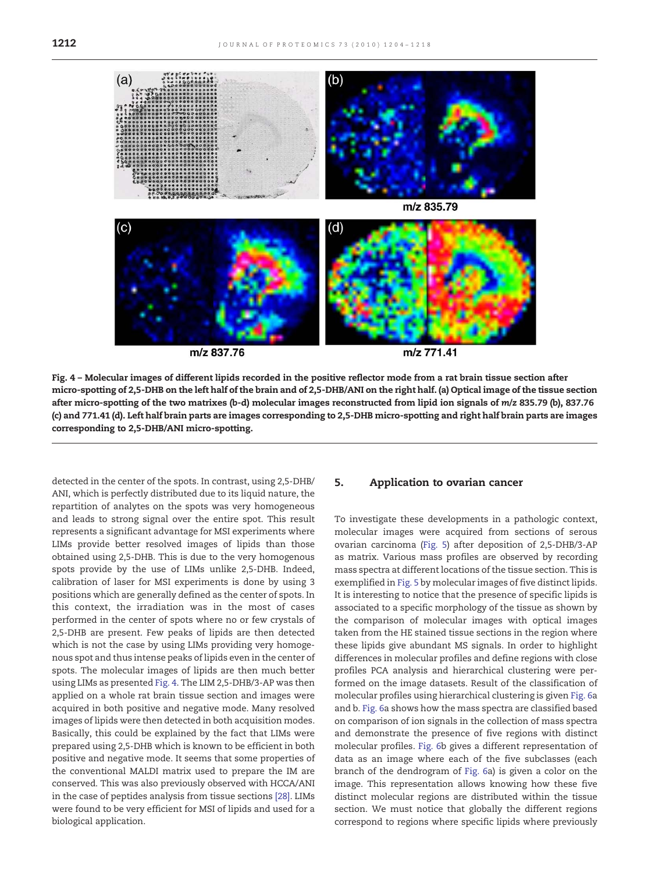<span id="page-8-0"></span>

Fig. 4 – Molecular images of different lipids recorded in the positive reflector mode from a rat brain tissue section after micro-spotting of 2,5-DHB on the left half of the brain and of 2,5-DHB/ANI on the right half. (a) Optical image of the tissue section after micro-spotting of the two matrixes (b-d) molecular images reconstructed from lipid ion signals of m/z 835.79 (b), 837.76 (c) and 771.41 (d). Left half brain parts are images corresponding to 2,5-DHB micro-spotting and right half brain parts are images corresponding to 2,5-DHB/ANI micro-spotting.

detected in the center of the spots. In contrast, using 2,5-DHB/ ANI, which is perfectly distributed due to its liquid nature, the repartition of analytes on the spots was very homogeneous and leads to strong signal over the entire spot. This result represents a significant advantage for MSI experiments where LIMs provide better resolved images of lipids than those obtained using 2,5-DHB. This is due to the very homogenous spots provide by the use of LIMs unlike 2,5-DHB. Indeed, calibration of laser for MSI experiments is done by using 3 positions which are generally defined as the center of spots. In this context, the irradiation was in the most of cases performed in the center of spots where no or few crystals of 2,5-DHB are present. Few peaks of lipids are then detected which is not the case by using LIMs providing very homogenous spot and thus intense peaks of lipids even in the center of spots. The molecular images of lipids are then much better using LIMs as presented Fig. 4. The LIM 2,5-DHB/3-AP was then applied on a whole rat brain tissue section and images were acquired in both positive and negative mode. Many resolved images of lipids were then detected in both acquisition modes. Basically, this could be explained by the fact that LIMs were prepared using 2,5-DHB which is known to be efficient in both positive and negative mode. It seems that some properties of the conventional MALDI matrix used to prepare the IM are conserved. This was also previously observed with HCCA/ANI in the case of peptides analysis from tissue sections [\[28\].](#page-13-0) LIMs were found to be very efficient for MSI of lipids and used for a biological application.

#### 5. Application to ovarian cancer

To investigate these developments in a pathologic context, molecular images were acquired from sections of serous ovarian carcinoma ([Fig. 5\)](#page-9-0) after deposition of 2,5-DHB/3-AP as matrix. Various mass profiles are observed by recording mass spectra at different locations of the tissue section. This is exemplified in [Fig. 5](#page-9-0) by molecular images of five distinct lipids. It is interesting to notice that the presence of specific lipids is associated to a specific morphology of the tissue as shown by the comparison of molecular images with optical images taken from the HE stained tissue sections in the region where these lipids give abundant MS signals. In order to highlight differences in molecular profiles and define regions with close profiles PCA analysis and hierarchical clustering were performed on the image datasets. Result of the classification of molecular profiles using hierarchical clustering is given [Fig. 6a](#page-10-0) and b. [Fig. 6](#page-10-0)a shows how the mass spectra are classified based on comparison of ion signals in the collection of mass spectra and demonstrate the presence of five regions with distinct molecular profiles. [Fig. 6](#page-10-0)b gives a different representation of data as an image where each of the five subclasses (each branch of the dendrogram of [Fig. 6a](#page-10-0)) is given a color on the image. This representation allows knowing how these five distinct molecular regions are distributed within the tissue section. We must notice that globally the different regions correspond to regions where specific lipids where previously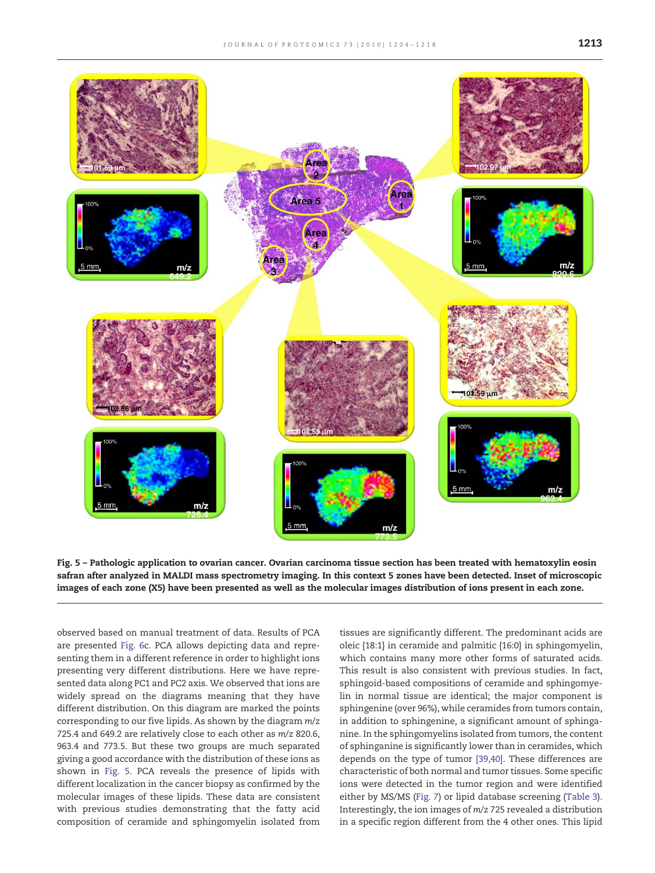<span id="page-9-0"></span>

Fig. 5 – Pathologic application to ovarian cancer. Ovarian carcinoma tissue section has been treated with hematoxylin eosin safran after analyzed in MALDI mass spectrometry imaging. In this context 5 zones have been detected. Inset of microscopic images of each zone (X5) have been presented as well as the molecular images distribution of ions present in each zone.

observed based on manual treatment of data. Results of PCA are presented [Fig. 6](#page-10-0)c. PCA allows depicting data and representing them in a different reference in order to highlight ions presenting very different distributions. Here we have represented data along PC1 and PC2 axis. We observed that ions are widely spread on the diagrams meaning that they have different distribution. On this diagram are marked the points corresponding to our five lipids. As shown by the diagram m/z 725.4 and 649.2 are relatively close to each other as m/z 820.6, 963.4 and 773.5. But these two groups are much separated giving a good accordance with the distribution of these ions as shown in Fig. 5. PCA reveals the presence of lipids with different localization in the cancer biopsy as confirmed by the molecular images of these lipids. These data are consistent with previous studies demonstrating that the fatty acid composition of ceramide and sphingomyelin isolated from

tissues are significantly different. The predominant acids are oleic {18:1} in ceramide and palmitic {16:0} in sphingomyelin, which contains many more other forms of saturated acids. This result is also consistent with previous studies. In fact, sphingoid-based compositions of ceramide and sphingomyelin in normal tissue are identical; the major component is sphingenine (over 96%), while ceramides from tumors contain, in addition to sphingenine, a significant amount of sphinganine. In the sphingomyelins isolated from tumors, the content of sphinganine is significantly lower than in ceramides, which depends on the type of tumor [\[39,40\]](#page-14-0). These differences are characteristic of both normal and tumor tissues. Some specific ions were detected in the tumor region and were identified either by MS/MS [\(Fig. 7\)](#page-11-0) or lipid database screening ([Table 3](#page-12-0)). Interestingly, the ion images of m/z 725 revealed a distribution in a specific region different from the 4 other ones. This lipid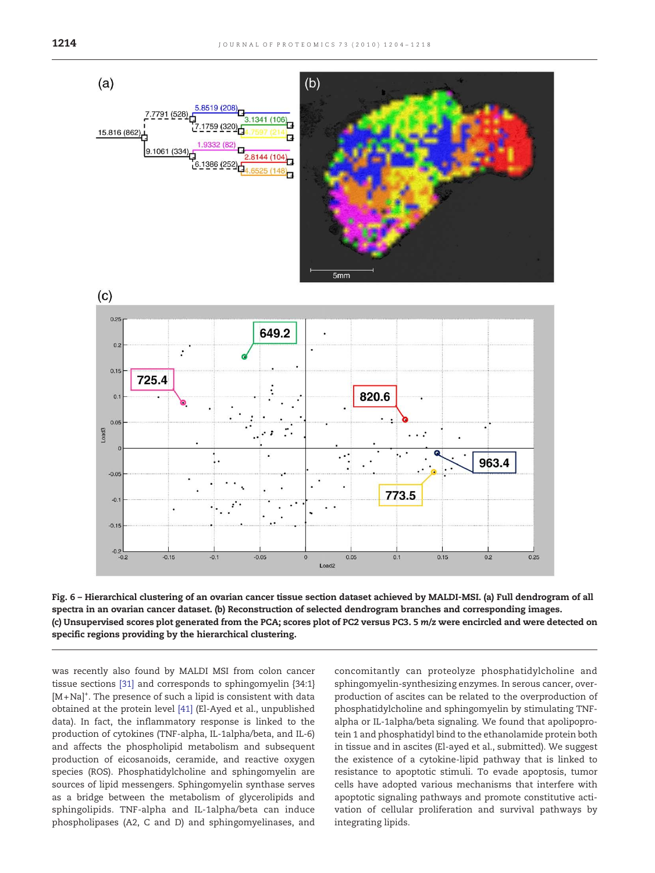<span id="page-10-0"></span>

Fig. 6 – Hierarchical clustering of an ovarian cancer tissue section dataset achieved by MALDI-MSI. (a) Full dendrogram of all spectra in an ovarian cancer dataset. (b) Reconstruction of selected dendrogram branches and corresponding images. (c) Unsupervised scores plot generated from the PCA; scores plot of PC2 versus PC3. 5 m/z were encircled and were detected on specific regions providing by the hierarchical clustering.

was recently also found by MALDI MSI from colon cancer tissue sections [\[31\]](#page-13-0) and corresponds to sphingomyelin {34:1} [M+Na]+ . The presence of such a lipid is consistent with data obtained at the protein level [\[41\]](#page-14-0) (El-Ayed et al., unpublished data). In fact, the inflammatory response is linked to the production of cytokines (TNF-alpha, IL-1alpha/beta, and IL-6) and affects the phospholipid metabolism and subsequent production of eicosanoids, ceramide, and reactive oxygen species (ROS). Phosphatidylcholine and sphingomyelin are sources of lipid messengers. Sphingomyelin synthase serves as a bridge between the metabolism of glycerolipids and sphingolipids. TNF-alpha and IL-1alpha/beta can induce phospholipases (A2, C and D) and sphingomyelinases, and

concomitantly can proteolyze phosphatidylcholine and sphingomyelin-synthesizing enzymes. In serous cancer, overproduction of ascites can be related to the overproduction of phosphatidylcholine and sphingomyelin by stimulating TNFalpha or IL-1alpha/beta signaling. We found that apolipoprotein 1 and phosphatidyl bind to the ethanolamide protein both in tissue and in ascites (El-ayed et al., submitted). We suggest the existence of a cytokine-lipid pathway that is linked to resistance to apoptotic stimuli. To evade apoptosis, tumor cells have adopted various mechanisms that interfere with apoptotic signaling pathways and promote constitutive activation of cellular proliferation and survival pathways by integrating lipids.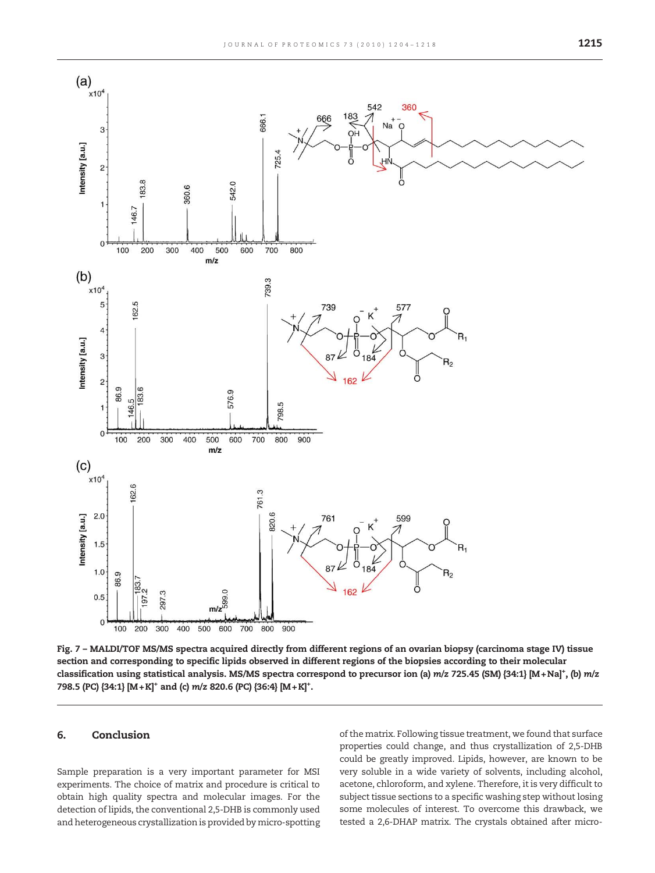<span id="page-11-0"></span>

Fig. 7 – MALDI/TOF MS/MS spectra acquired directly from different regions of an ovarian biopsy (carcinoma stage IV) tissue section and corresponding to specific lipids observed in different regions of the biopsies according to their molecular classification using statistical analysis. MS/MS spectra correspond to precursor ion (a) m/z 725.45 (SM) {34:1} [M+Na]\*, (b) m/z 798.5 (PC) {34:1} [M+K]<sup>+</sup> and (c) m/z 820.6 (PC) {36:4} [M+K]<sup>+</sup>.

#### 6. Conclusion

Sample preparation is a very important parameter for MSI experiments. The choice of matrix and procedure is critical to obtain high quality spectra and molecular images. For the detection of lipids, the conventional 2,5-DHB is commonly used and heterogeneous crystallization is provided by micro-spotting of the matrix. Following tissue treatment, we found that surface properties could change, and thus crystallization of 2,5-DHB could be greatly improved. Lipids, however, are known to be very soluble in a wide variety of solvents, including alcohol, acetone, chloroform, and xylene. Therefore, it is very difficult to subject tissue sections to a specific washing step without losing some molecules of interest. To overcome this drawback, we tested a 2,6-DHAP matrix. The crystals obtained after micro-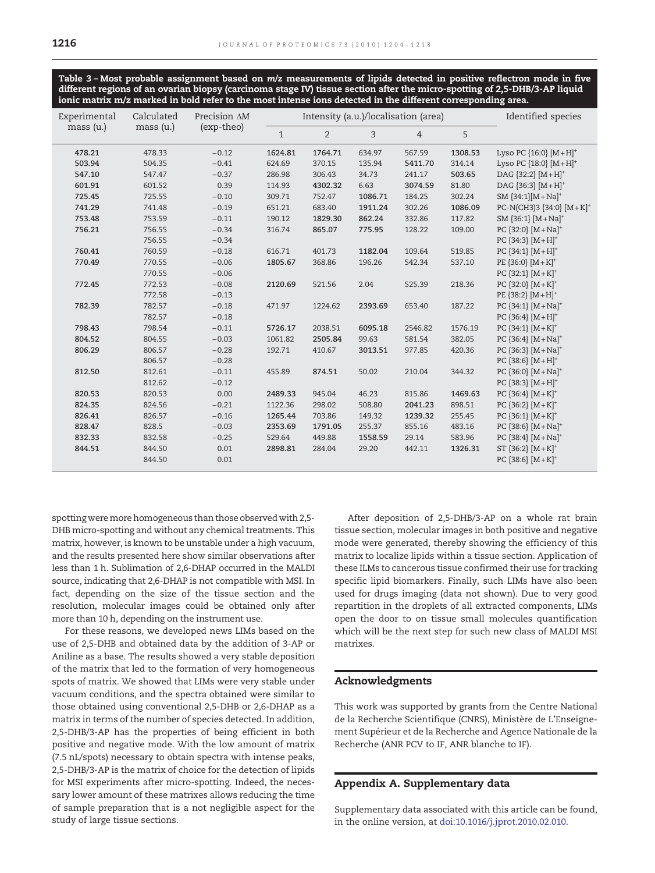<span id="page-12-0"></span>Table 3 – Most probable assignment based on m/z measurements of lipids detected in positive reflectron mode in five different regions of an ovarian biopsy (carcinoma stage IV) tissue section after the micro-spotting of 2,5-DHB/3-AP liquid ionic matrix m/z marked in bold refer to the most intense ions detected in the different corresponding area.

| Experimental | Calculated | Precision AM | Intensity (a.u.)/localisation (area) |         |         |                | Identified species |                                   |
|--------------|------------|--------------|--------------------------------------|---------|---------|----------------|--------------------|-----------------------------------|
| mass (u.)    | mass (u.)  | (exp-theo)   | $\mathbf{1}$                         | 2       | 3       | $\overline{4}$ | 5                  |                                   |
| 478.21       | 478.33     | $-0.12$      | 1624.81                              | 1764.71 | 634.97  | 567.59         | 1308.53            | Lyso PC $\{16:0\}$ $[M+H]^+$      |
| 503.94       | 504.35     | $-0.41$      | 624.69                               | 370.15  | 135.94  | 5411.70        | 314.14             | Lyso PC ${18:0}$ $[M+H]^{+}$      |
| 547.10       | 547.47     | $-0.37$      | 286.98                               | 306.43  | 34.73   | 241.17         | 503.65             | DAG ${32:2}$ $[M+H]^{+}$          |
| 601.91       | 601.52     | 0.39         | 114.93                               | 4302.32 | 6.63    | 3074.59        | 81.80              | DAG ${36:3}$ $[M+H]^+$            |
| 725.45       | 725.55     | $-0.10$      | 309.71                               | 752.47  | 1086.71 | 184.25         | 302.24             | $SM$ {34:1}[M + Na] <sup>+</sup>  |
| 741.29       | 741.48     | $-0.19$      | 651.21                               | 683.40  | 1911.24 | 302.26         | 1086.09            | PC-N(CH3)3 {34:0} $[M+K]^+$       |
| 753.48       | 753.59     | $-0.11$      | 190.12                               | 1829.30 | 862.24  | 332.86         | 117.82             | SM ${36:1}$ $[M+Na]^{+}$          |
| 756.21       | 756.55     | $-0.34$      | 316.74                               | 865.07  | 775.95  | 128.22         | 109.00             | PC {32:0} [M+Na] <sup>+</sup>     |
|              | 756.55     | $-0.34$      |                                      |         |         |                |                    | PC ${34:3}$ $[M+H]^+$             |
| 760.41       | 760.59     | $-0.18$      | 616.71                               | 401.73  | 1182.04 | 109.64         | 519.85             | PC ${34:1}$ $[M+H]^{+}$           |
| 770.49       | 770.55     | $-0.06$      | 1805.67                              | 368.86  | 196.26  | 542.34         | 537.10             | PE $\{36:0\}$ $[M+K]^+$           |
|              | 770.55     | $-0.06$      |                                      |         |         |                |                    | PC ${32:1}$ $[M+K]^+$             |
| 772.45       | 772.53     | $-0.08$      | 2120.69                              | 521.56  | 2.04    | 525.39         | 218.36             | PC ${32:0}$ $[M+K]^+$             |
|              | 772.58     | $-0.13$      |                                      |         |         |                |                    | PE {38:2} $[M+H]^{+}$             |
| 782.39       | 782.57     | $-0.18$      | 471.97                               | 1224.62 | 2393.69 | 653.40         | 187.22             | PC ${34:1}$ $[M+Na]^{+}$          |
|              | 782.57     | $-0.18$      |                                      |         |         |                |                    | PC $[36:4] [M+H]^{+}$             |
| 798.43       | 798.54     | $-0.11$      | 5726.17                              | 2038.51 | 6095.18 | 2546.82        | 1576.19            | PC ${34:1}$ $[M+K]^+$             |
| 804.52       | 804.55     | $-0.03$      | 1061.82                              | 2505.84 | 99.63   | 581.54         | 382.05             | PC ${36:4}$ $[M+Na]^{+}$          |
| 806.29       | 806.57     | $-0.28$      | 192.71                               | 410.67  | 3013.51 | 977.85         | 420.36             | PC $\{36:3\}$ $[M+Na]^+$          |
|              | 806.57     | $-0.28$      |                                      |         |         |                |                    | PC ${38:6}$ $[M+H]^+$             |
| 812.50       | 812.61     | $-0.11$      | 455.89                               | 874.51  | 50.02   | 210.04         | 344.32             | PC ${36:0}$ [M + Na] <sup>+</sup> |
|              | 812.62     | $-0.12$      |                                      |         |         |                |                    | PC ${38:3}$ $[M+H]^+$             |
| 820.53       | 820.53     | 0.00         | 2489.33                              | 945.04  | 46.23   | 815.86         | 1469.63            | PC ${36:4}$ $[M+K]^+$             |
| 824.35       | 824.56     | $-0.21$      | 1122.36                              | 298.02  | 508.80  | 2041.23        | 898.51             | PC ${36:2}$ $[M+K]^+$             |
| 826.41       | 826.57     | $-0.16$      | 1265.44                              | 703.86  | 149.32  | 1239.32        | 255.45             | PC ${36:1}$ $[M+K]^+$             |
| 828.47       | 828.5      | $-0.03$      | 2353.69                              | 1791.05 | 255.37  | 855.16         | 483.16             | PC ${38:6}$ [M + Na] <sup>+</sup> |
| 832.33       | 832.58     | $-0.25$      | 529.64                               | 449.88  | 1558.59 | 29.14          | 583.96             | PC {38:4} [M+Na] <sup>+</sup>     |
| 844.51       | 844.50     | 0.01         | 2898.81                              | 284.04  | 29.20   | 442.11         | 1326.31            | ST ${36:2}$ $[M+K]^+$             |
|              | 844.50     | 0.01         |                                      |         |         |                |                    | PC ${38:6}$ $[M+K]^+$             |

spotting were more homogeneous than those observed with 2,5-DHB micro-spotting and without any chemical treatments. This matrix, however, is known to be unstable under a high vacuum, and the results presented here show similar observations after less than 1 h. Sublimation of 2,6-DHAP occurred in the MALDI source, indicating that 2,6-DHAP is not compatible with MSI. In fact, depending on the size of the tissue section and the resolution, molecular images could be obtained only after more than 10 h, depending on the instrument use.

For these reasons, we developed news LIMs based on the use of 2,5-DHB and obtained data by the addition of 3-AP or Aniline as a base. The results showed a very stable deposition of the matrix that led to the formation of very homogeneous spots of matrix. We showed that LIMs were very stable under vacuum conditions, and the spectra obtained were similar to those obtained using conventional 2,5-DHB or 2,6-DHAP as a matrix in terms of the number of species detected. In addition, 2,5-DHB/3-AP has the properties of being efficient in both positive and negative mode. With the low amount of matrix (7.5 nL/spots) necessary to obtain spectra with intense peaks, 2,5-DHB/3-AP is the matrix of choice for the detection of lipids for MSI experiments after micro-spotting. Indeed, the necessary lower amount of these matrixes allows reducing the time of sample preparation that is a not negligible aspect for the study of large tissue sections.

After deposition of 2,5-DHB/3-AP on a whole rat brain tissue section, molecular images in both positive and negative mode were generated, thereby showing the efficiency of this matrix to localize lipids within a tissue section. Application of these ILMs to cancerous tissue confirmed their use for tracking specific lipid biomarkers. Finally, such LIMs have also been used for drugs imaging (data not shown). Due to very good repartition in the droplets of all extracted components, LIMs open the door to on tissue small molecules quantification which will be the next step for such new class of MALDI MSI matrixes.

#### Acknowledgments

This work was supported by grants from the Centre National de la Recherche Scientifique (CNRS), Ministère de L'Enseignement Supérieur et de la Recherche and Agence Nationale de la Recherche (ANR PCV to IF, ANR blanche to IF).

#### Appendix A. Supplementary data

Supplementary data associated with this article can be found, in the online version, at doi:10.1016/j.jprot.2010.02.010.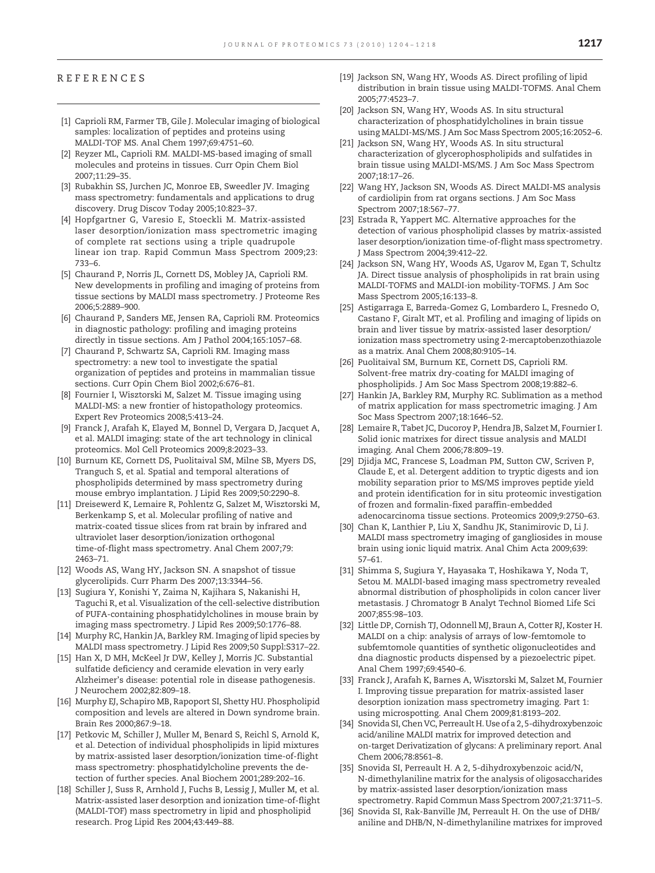#### <span id="page-13-0"></span>REFERENCES

- [1] Caprioli RM, Farmer TB, Gile J. Molecular imaging of biological samples: localization of peptides and proteins using MALDI-TOF MS. Anal Chem 1997;69:4751–60.
- [2] Reyzer ML, Caprioli RM. MALDI-MS-based imaging of small molecules and proteins in tissues. Curr Opin Chem Biol 2007;11:29–35.
- [3] Rubakhin SS, Jurchen JC, Monroe EB, Sweedler JV. Imaging mass spectrometry: fundamentals and applications to drug discovery. Drug Discov Today 2005;10:823–37.
- [4] Hopfgartner G, Varesio E, Stoeckli M. Matrix-assisted laser desorption/ionization mass spectrometric imaging of complete rat sections using a triple quadrupole linear ion trap. Rapid Commun Mass Spectrom 2009;23: 733–6.
- [5] Chaurand P, Norris JL, Cornett DS, Mobley JA, Caprioli RM. New developments in profiling and imaging of proteins from tissue sections by MALDI mass spectrometry. J Proteome Res 2006;5:2889–900.
- [6] Chaurand P, Sanders ME, Jensen RA, Caprioli RM. Proteomics in diagnostic pathology: profiling and imaging proteins directly in tissue sections. Am J Pathol 2004;165:1057–68.
- [7] Chaurand P, Schwartz SA, Caprioli RM. Imaging mass spectrometry: a new tool to investigate the spatial organization of peptides and proteins in mammalian tissue sections. Curr Opin Chem Biol 2002;6:676–81.
- [8] Fournier I, Wisztorski M, Salzet M. Tissue imaging using MALDI-MS: a new frontier of histopathology proteomics. Expert Rev Proteomics 2008;5:413–24.
- [9] Franck J, Arafah K, Elayed M, Bonnel D, Vergara D, Jacquet A, et al. MALDI imaging: state of the art technology in clinical proteomics. Mol Cell Proteomics 2009;8:2023–33.
- [10] Burnum KE, Cornett DS, Puolitaival SM, Milne SB, Myers DS, Tranguch S, et al. Spatial and temporal alterations of phospholipids determined by mass spectrometry during mouse embryo implantation. J Lipid Res 2009;50:2290–8.
- [11] Dreisewerd K, Lemaire R, Pohlentz G, Salzet M, Wisztorski M, Berkenkamp S, et al. Molecular profiling of native and matrix-coated tissue slices from rat brain by infrared and ultraviolet laser desorption/ionization orthogonal time-of-flight mass spectrometry. Anal Chem 2007;79: 2463–71.
- [12] Woods AS, Wang HY, Jackson SN. A snapshot of tissue glycerolipids. Curr Pharm Des 2007;13:3344–56.
- [13] Sugiura Y, Konishi Y, Zaima N, Kajihara S, Nakanishi H, Taguchi R, et al. Visualization of the cell-selective distribution of PUFA-containing phosphatidylcholines in mouse brain by imaging mass spectrometry. J Lipid Res 2009;50:1776–88.
- [14] Murphy RC, Hankin JA, Barkley RM. Imaging of lipid species by MALDI mass spectrometry. J Lipid Res 2009;50 Suppl:S317–22.
- [15] Han X, D MH, McKeel Jr DW, Kelley J, Morris JC. Substantial sulfatide deficiency and ceramide elevation in very early Alzheimer's disease: potential role in disease pathogenesis. J Neurochem 2002;82:809–18.
- [16] Murphy EJ, Schapiro MB, Rapoport SI, Shetty HU. Phospholipid composition and levels are altered in Down syndrome brain. Brain Res 2000;867:9–18.
- [17] Petkovic M, Schiller J, Muller M, Benard S, Reichl S, Arnold K, et al. Detection of individual phospholipids in lipid mixtures by matrix-assisted laser desorption/ionization time-of-flight mass spectrometry: phosphatidylcholine prevents the detection of further species. Anal Biochem 2001;289:202–16.
- [18] Schiller J, Suss R, Arnhold J, Fuchs B, Lessig J, Muller M, et al. Matrix-assisted laser desorption and ionization time-of-flight (MALDI-TOF) mass spectrometry in lipid and phospholipid research. Prog Lipid Res 2004;43:449–88.
- [19] Jackson SN, Wang HY, Woods AS. Direct profiling of lipid distribution in brain tissue using MALDI-TOFMS. Anal Chem 2005;77:4523–7.
- [20] Jackson SN, Wang HY, Woods AS. In situ structural characterization of phosphatidylcholines in brain tissue using MALDI-MS/MS. J Am Soc Mass Spectrom 2005;16:2052–6.
- [21] Jackson SN, Wang HY, Woods AS. In situ structural characterization of glycerophospholipids and sulfatides in brain tissue using MALDI-MS/MS. J Am Soc Mass Spectrom 2007;18:17–26.
- [22] Wang HY, Jackson SN, Woods AS. Direct MALDI-MS analysis of cardiolipin from rat organs sections. J Am Soc Mass Spectrom 2007;18:567–77.
- [23] Estrada R, Yappert MC. Alternative approaches for the detection of various phospholipid classes by matrix-assisted laser desorption/ionization time-of-flight mass spectrometry. J Mass Spectrom 2004;39:412–22.
- [24] Jackson SN, Wang HY, Woods AS, Ugarov M, Egan T, Schultz JA. Direct tissue analysis of phospholipids in rat brain using MALDI-TOFMS and MALDI-ion mobility-TOFMS. J Am Soc Mass Spectrom 2005;16:133–8.
- [25] Astigarraga E, Barreda-Gomez G, Lombardero L, Fresnedo O, Castano F, Giralt MT, et al. Profiling and imaging of lipids on brain and liver tissue by matrix-assisted laser desorption/ ionization mass spectrometry using 2-mercaptobenzothiazole as a matrix. Anal Chem 2008;80:9105–14.
- [26] Puolitaival SM, Burnum KE, Cornett DS, Caprioli RM. Solvent-free matrix dry-coating for MALDI imaging of phospholipids. J Am Soc Mass Spectrom 2008;19:882–6.
- [27] Hankin JA, Barkley RM, Murphy RC. Sublimation as a method of matrix application for mass spectrometric imaging. J Am Soc Mass Spectrom 2007;18:1646–52.
- [28] Lemaire R, Tabet JC, Ducoroy P, Hendra JB, Salzet M, Fournier I. Solid ionic matrixes for direct tissue analysis and MALDI imaging. Anal Chem 2006;78:809–19.
- [29] Djidja MC, Francese S, Loadman PM, Sutton CW, Scriven P, Claude E, et al. Detergent addition to tryptic digests and ion mobility separation prior to MS/MS improves peptide yield and protein identification for in situ proteomic investigation of frozen and formalin-fixed paraffin-embedded adenocarcinoma tissue sections. Proteomics 2009;9:2750–63.
- [30] Chan K, Lanthier P, Liu X, Sandhu JK, Stanimirovic D, Li J. MALDI mass spectrometry imaging of gangliosides in mouse brain using ionic liquid matrix. Anal Chim Acta 2009;639: 57–61.
- [31] Shimma S, Sugiura Y, Hayasaka T, Hoshikawa Y, Noda T, Setou M. MALDI-based imaging mass spectrometry revealed abnormal distribution of phospholipids in colon cancer liver metastasis. J Chromatogr B Analyt Technol Biomed Life Sci 2007;855:98–103.
- [32] Little DP, Cornish TJ, Odonnell MJ, Braun A, Cotter RJ, Koster H. MALDI on a chip: analysis of arrays of low-femtomole to subfemtomole quantities of synthetic oligonucleotides and dna diagnostic products dispensed by a piezoelectric pipet. Anal Chem 1997;69:4540–6.
- [33] Franck J, Arafah K, Barnes A, Wisztorski M, Salzet M, Fournier I. Improving tissue preparation for matrix-assisted laser desorption ionization mass spectrometry imaging. Part 1: using microspotting. Anal Chem 2009;81:8193–202.
- [34] Snovida SI, Chen VC, Perreault H. Use of a 2, 5-dihydroxybenzoic acid/aniline MALDI matrix for improved detection and on-target Derivatization of glycans: A preliminary report. Anal Chem 2006;78:8561–8.
- [35] Snovida SI, Perreault H. A 2, 5-dihydroxybenzoic acid/N, N-dimethylaniline matrix for the analysis of oligosaccharides by matrix-assisted laser desorption/ionization mass spectrometry. Rapid Commun Mass Spectrom 2007;21:3711–5.
- [36] Snovida SI, Rak-Banville JM, Perreault H. On the use of DHB/ aniline and DHB/N, N-dimethylaniline matrixes for improved